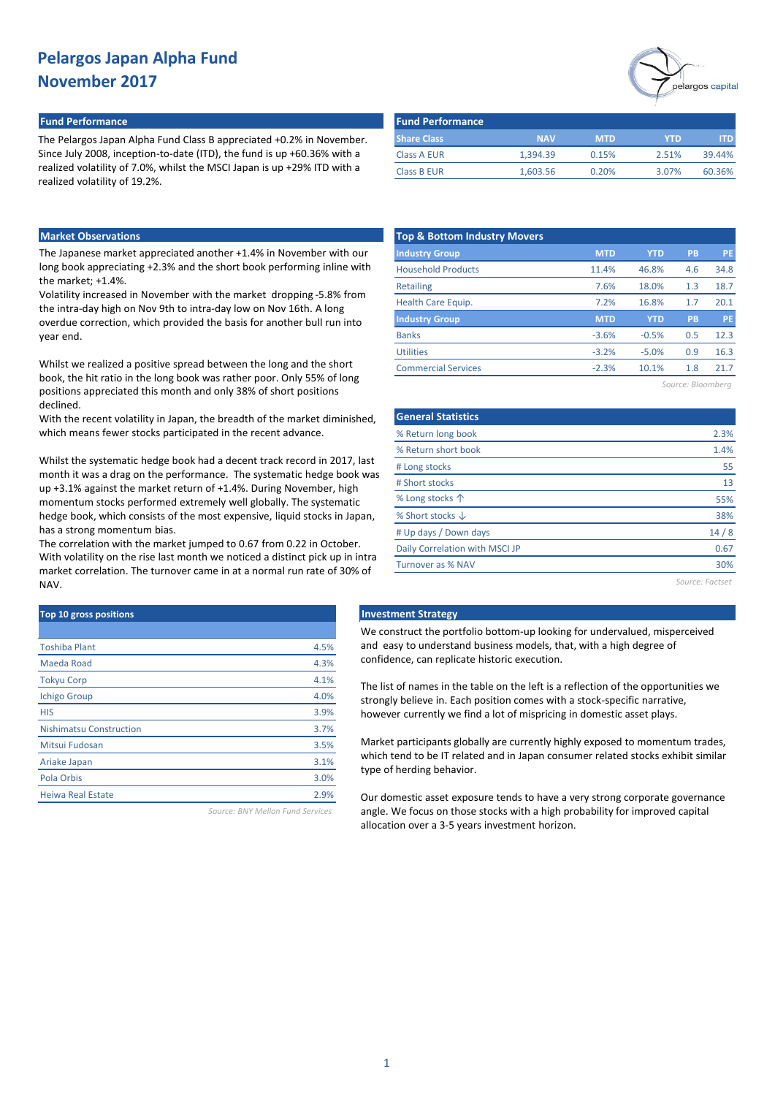### **Fund Performance Fund Performance**

The Pelargos Japan Alpha Fund Class B appreciated +0.2% in November. Since July 2008, inception-to-date (ITD), the fund is up +60.36% with a realized volatility of 7.0%, whilst the MSCI Japan is up +29% ITD with a realized volatility of 19.2%.

# pelargos capital

| <b>Fund Performance</b> |            |            |       |        |
|-------------------------|------------|------------|-------|--------|
| <b>Share Class</b>      | <b>NAV</b> | <b>MTD</b> | YTD.  | ITD.   |
| <b>Class A EUR</b>      | 1.394.39   | 0.15%      | 2.51% | 39.44% |
| <b>Class B EUR</b>      | 1.603.56   | 0.20%      | 3.07% | 60.36% |

### **Market Observations**

The Japanese market appreciated another +1.4% in November with our long book appreciating +2.3% and the short book performing inline with the market; +1.4%.

Volatility increased in November with the market dropping -5.8% from the intra-day high on Nov 9th to intra-day low on Nov 16th. A long overdue correction, which provided the basis for another bull run into year end.

Whilst we realized a positive spread between the long and the short book, the hit ratio in the long book was rather poor. Only 55% of long positions appreciated this month and only 38% of short positions declined.

With the recent volatility in Japan, the breadth of the market diminished, which means fewer stocks participated in the recent advance.

Whilst the systematic hedge book had a decent track record in 2017, last month it was a drag on the performance. The systematic hedge book was up +3.1% against the market return of +1.4%. During November, high momentum stocks performed extremely well globally. The systematic hedge book, which consists of the most expensive, liquid stocks in Japan, has a strong momentum bias.

The correlation with the market jumped to 0.67 from 0.22 in October. With volatility on the rise last month we noticed a distinct pick up in intra market correlation. The turnover came in at a normal run rate of 30% of NAV.

| Top 10 gross positions         |      |
|--------------------------------|------|
|                                |      |
| <b>Toshiba Plant</b>           | 4.5% |
| Maeda Road                     | 4.3% |
| <b>Tokyu Corp</b>              | 4.1% |
| <b>Ichigo Group</b>            | 4.0% |
| <b>HIS</b>                     | 3.9% |
| <b>Nishimatsu Construction</b> | 3.7% |
| Mitsui Fudosan                 | 3.5% |
| Ariake Japan                   | 3.1% |
| Pola Orbis                     | 3.0% |
| <b>Heiwa Real Estate</b>       | 2.9% |
|                                |      |

*Source: BNY Mellon Fund Services*

| <b>Top &amp; Bottom Industry Movers</b> |            |            |     |           |
|-----------------------------------------|------------|------------|-----|-----------|
| <b>Industry Group</b>                   | <b>MTD</b> | <b>YTD</b> | PB  | <b>PE</b> |
| <b>Household Products</b>               | 11.4%      | 46.8%      | 4.6 | 34.8      |
| <b>Retailing</b>                        | 7.6%       | 18.0%      | 1.3 | 18.7      |
| Health Care Equip.                      | 7.2%       | 16.8%      | 1.7 | 20.1      |
| <b>Industry Group</b>                   | <b>MTD</b> | <b>YTD</b> | PB  | <b>PE</b> |
| <b>Banks</b>                            | $-3.6%$    | $-0.5%$    | 0.5 | 12.3      |
| <b>Utilities</b>                        | $-3.2%$    | $-5.0%$    | 0.9 | 16.3      |
| <b>Commercial Services</b>              | $-2.3%$    | 10.1%      | 1.8 | 21.7      |
|                                         |            |            |     |           |

*Source: Bloomberg*

| <b>General Statistics</b>      |      |
|--------------------------------|------|
| % Return long book             | 2.3% |
| % Return short book            | 1.4% |
| # Long stocks                  | 55   |
| # Short stocks                 | 13   |
| % Long stocks 个                | 55%  |
| % Short stocks $\downarrow$    | 38%  |
| # Up days / Down days          | 14/8 |
| Daily Correlation with MSCI JP | 0.67 |
| Turnover as % NAV              | 30%  |
|                                |      |

*Source: Factset*

#### **Top 10 gross positions Investment Strategy**

We construct the portfolio bottom-up looking for undervalued, misperceived and easy to understand business models, that, with a high degree of confidence, can replicate historic execution.

The list of names in the table on the left is a reflection of the opportunities we strongly believe in. Each position comes with a stock-specific narrative, however currently we find a lot of mispricing in domestic asset plays.

Market participants globally are currently highly exposed to momentum trades, which tend to be IT related and in Japan consumer related stocks exhibit similar type of herding behavior.

Our domestic asset exposure tends to have a very strong corporate governance angle. We focus on those stocks with a high probability for improved capital allocation over a 3-5 years investment horizon.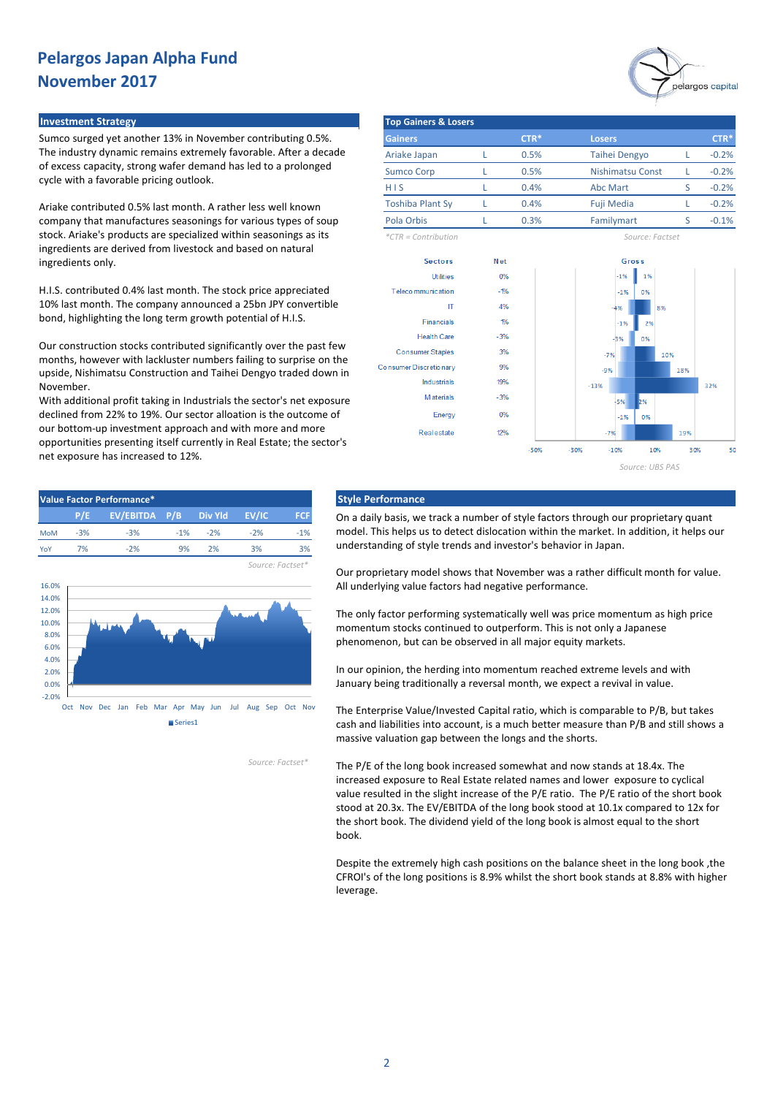# pelargos capital

Sumco surged yet another 13% in November contributing 0.5%. The industry dynamic remains extremely favorable. After a decade of excess capacity, strong wafer demand has led to a prolonged cycle with a favorable pricing outlook.

Ariake contributed 0.5% last month. A rather less well known company that manufactures seasonings for various types of soup stock. Ariake's products are specialized within seasonings as its ingredients are derived from livestock and based on natural ingredients only.

H.I.S. contributed 0.4% last month. The stock price appreciated 10% last month. The company announced a 25bn JPY convertible bond, highlighting the long term growth potential of H.I.S.

Our construction stocks contributed significantly over the past few months, however with lackluster numbers failing to surprise on the upside, Nishimatsu Construction and Taihei Dengyo traded down in November.

With additional profit taking in Industrials the sector's net exposure declined from 22% to 19%. Our sector alloation is the outcome of our bottom-up investment approach and with more and more opportunities presenting itself currently in Real Estate; the sector's net exposure has increased to 12%.





On a daily basis, we track a number of style factors through our proprietary quant model. This helps us to detect dislocation within the market. In addition, it helps our understanding of style trends and investor's behavior in Japan.

Our proprietary model shows that November was a rather difficult month for value. All underlying value factors had negative performance.

The only factor performing systematically well was price momentum as high price momentum stocks continued to outperform. This is not only a Japanese phenomenon, but can be observed in all major equity markets.

In our opinion, the herding into momentum reached extreme levels and with January being traditionally a reversal month, we expect a revival in value.

The Enterprise Value/Invested Capital ratio, which is comparable to P/B, but takes cash and liabilities into account, is a much better measure than P/B and still shows a massive valuation gap between the longs and the shorts.

The P/E of the long book increased somewhat and now stands at 18.4x. The increased exposure to Real Estate related names and lower exposure to cyclical value resulted in the slight increase of the P/E ratio. The P/E ratio of the short book stood at 20.3x. The EV/EBITDA of the long book stood at 10.1x compared to 12x for the short book. The dividend yield of the long book is almost equal to the short book.

Despite the extremely high cash positions on the balance sheet in the long book ,the CFROI's of the long positions is 8.9% whilst the short book stands at 8.8% with higher leverage.



*Source: Factset\**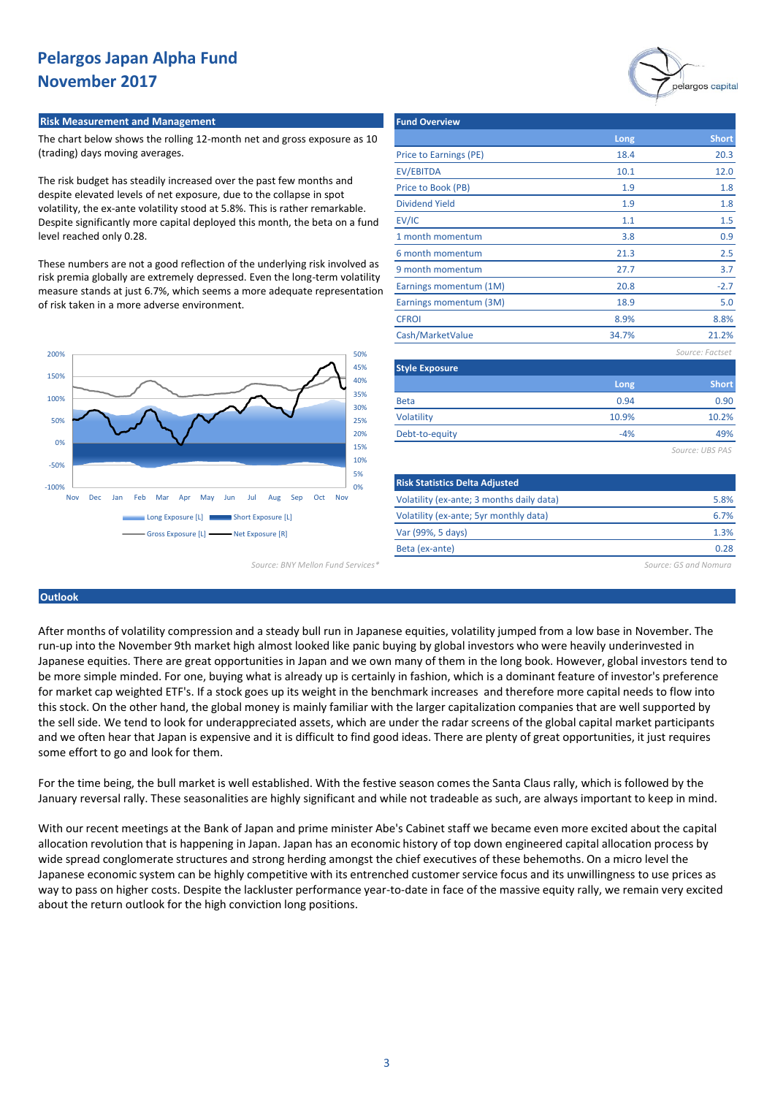#### **Risk Measurement and Management Fund Overview Adventure Community Properties**

The chart below shows the rolling 12-month net and gross exposure as 10 (trading) days moving averages.

The risk budget has steadily increased over the past few months and despite elevated levels of net exposure, due to the collapse in spot volatility, the ex-ante volatility stood at 5.8%. This is rather remarkable. Despite significantly more capital deployed this month, the beta on a fund level reached only 0.28.

These numbers are not a good reflection of the underlying risk involved as risk premia globally are extremely depressed. Even the long-term volatility measure stands at just 6.7%, which seems a more adequate representation of risk taken in a more adverse environment.



*Source: BNY Mellon Fund Services\* Source: GS and Nomura*

|                                           |       | pelargos capital |
|-------------------------------------------|-------|------------------|
| <b>Fund Overview</b>                      |       |                  |
|                                           | Long  | <b>Short</b>     |
| Price to Earnings (PE)                    | 18.4  | 20.3             |
| <b>EV/EBITDA</b>                          | 10.1  | 12.0             |
| Price to Book (PB)                        | 1.9   | 1.8              |
| <b>Dividend Yield</b>                     | 1.9   | 1.8              |
| EV/IC                                     | 1.1   | 1.5              |
| 1 month momentum                          | 3.8   | 0.9              |
| 6 month momentum                          | 21.3  | 2.5              |
| 9 month momentum                          | 27.7  | 3.7              |
| Earnings momentum (1M)                    | 20.8  | $-2.7$           |
| Earnings momentum (3M)                    | 18.9  | 5.0              |
| <b>CFROI</b>                              | 8.9%  | 8.8%             |
| Cash/MarketValue                          | 34.7% | 21.2%            |
|                                           |       | Source: Factset  |
| <b>Style Exposure</b>                     |       |                  |
|                                           | Long  | <b>Short</b>     |
| <b>Beta</b>                               | 0.94  | 0.90             |
| Volatility                                | 10.9% | 10.2%            |
| Debt-to-equity                            | $-4%$ | 49%              |
|                                           |       | Source: UBS PAS  |
| <b>Risk Statistics Delta Adjusted</b>     |       |                  |
| Volatility (ex-ante; 3 months daily data) |       | 5.8%             |

0.28

6.7% 1.3%

## **Outlook**

After months of volatility compression and a steady bull run in Japanese equities, volatility jumped from a low base in November. The run-up into the November 9th market high almost looked like panic buying by global investors who were heavily underinvested in Japanese equities. There are great opportunities in Japan and we own many of them in the long book. However, global investors tend to be more simple minded. For one, buying what is already up is certainly in fashion, which is a dominant feature of investor's preference for market cap weighted ETF's. If a stock goes up its weight in the benchmark increases and therefore more capital needs to flow into this stock. On the other hand, the global money is mainly familiar with the larger capitalization companies that are well supported by the sell side. We tend to look for underappreciated assets, which are under the radar screens of the global capital market participants and we often hear that Japan is expensive and it is difficult to find good ideas. There are plenty of great opportunities, it just requires some effort to go and look for them.

Volatility (ex-ante; 5yr monthly data)

Var (99%, 5 days) Beta (ex-ante)

For the time being, the bull market is well established. With the festive season comes the Santa Claus rally, which is followed by the January reversal rally. These seasonalities are highly significant and while not tradeable as such, are always important to keep in mind.

With our recent meetings at the Bank of Japan and prime minister Abe's Cabinet staff we became even more excited about the capital allocation revolution that is happening in Japan. Japan has an economic history of top down engineered capital allocation process by wide spread conglomerate structures and strong herding amongst the chief executives of these behemoths. On a micro level the Japanese economic system can be highly competitive with its entrenched customer service focus and its unwillingness to use prices as way to pass on higher costs. Despite the lackluster performance year-to-date in face of the massive equity rally, we remain very excited about the return outlook for the high conviction long positions.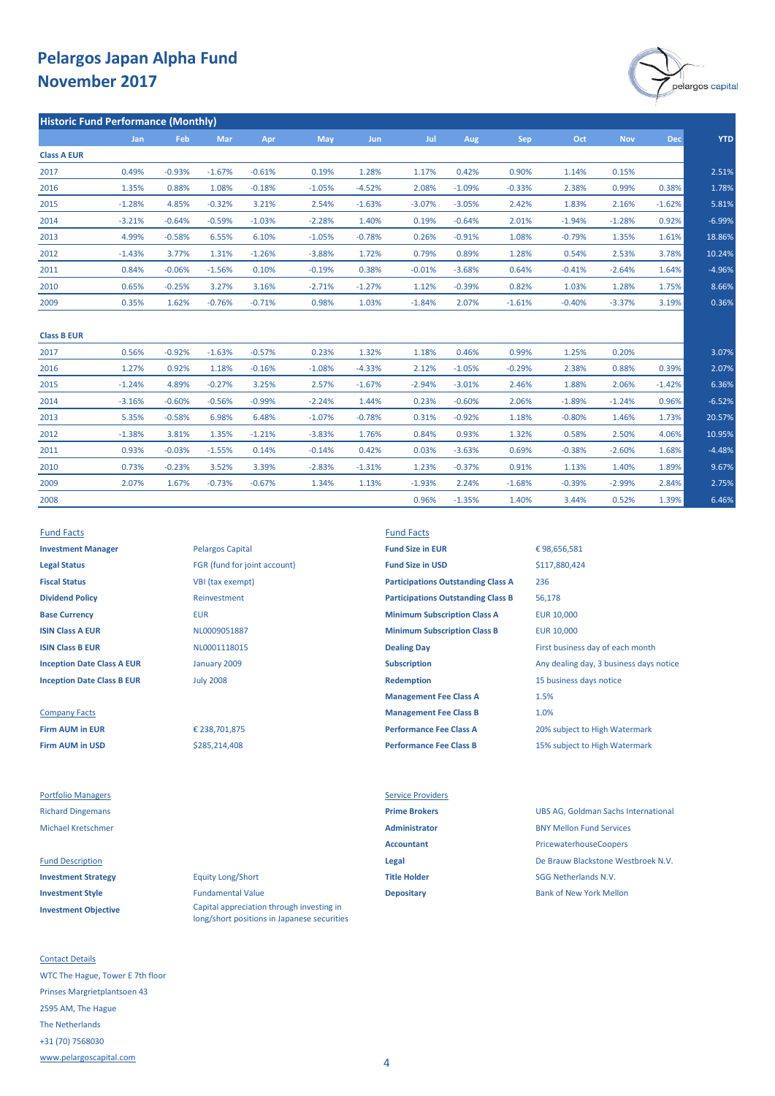

| <b>Historic Fund Performance (Monthly)</b> |          |          |            |          |          |            |          |          |          |          |            |            |
|--------------------------------------------|----------|----------|------------|----------|----------|------------|----------|----------|----------|----------|------------|------------|
|                                            | Jan      | Feb      | <b>Mar</b> | Apr      | May      | <b>Jun</b> | Jul      | Aug      | Sep      | Oct      | <b>Nov</b> | <b>Dec</b> |
| <b>Class A EUR</b>                         |          |          |            |          |          |            |          |          |          |          |            |            |
| 2017                                       | 0.49%    | $-0.93%$ | $-1.67%$   | $-0.61%$ | 0.19%    | 1.28%      | 1.17%    | 0.42%    | 0.90%    | 1.14%    | 0.15%      |            |
| 2016                                       | 1.35%    | 0.88%    | 1.08%      | $-0.18%$ | $-1.05%$ | $-4.52%$   | 2.08%    | $-1.09%$ | $-0.33%$ | 2.38%    | 0.99%      | 0.38%      |
| 2015                                       | $-1.28%$ | 4.85%    | $-0.32%$   | 3.21%    | 2.54%    | $-1.63%$   | $-3.07%$ | $-3.05%$ | 2.42%    | 1.83%    | 2.16%      | $-1.62%$   |
| 2014                                       | $-3.21%$ | $-0.64%$ | $-0.59%$   | $-1.03%$ | $-2.28%$ | 1.40%      | 0.19%    | $-0.64%$ | 2.01%    | $-1.94%$ | $-1.28%$   | 0.92%      |
| 2013                                       | 4.99%    | $-0.58%$ | 6.55%      | 6.10%    | $-1.05%$ | $-0.78%$   | 0.26%    | $-0.91%$ | 1.08%    | $-0.79%$ | 1.35%      | 1.61%      |
| 2012                                       | $-1.43%$ | 3.77%    | 1.31%      | $-1.26%$ | $-3.88%$ | 1.72%      | 0.79%    | 0.89%    | 1.28%    | 0.54%    | 2.53%      | 3.78%      |
| 2011                                       | 0.84%    | $-0.06%$ | $-1.56%$   | 0.10%    | $-0.19%$ | 0.38%      | $-0.01%$ | $-3.68%$ | 0.64%    | $-0.41%$ | $-2.64%$   | 1.64%      |
| 2010                                       | 0.65%    | $-0.25%$ | 3.27%      | 3.16%    | $-2.71%$ | $-1.27%$   | 1.12%    | $-0.39%$ | 0.82%    | 1.03%    | 1.28%      | 1.75%      |
| 2009                                       | 0.35%    | 1.62%    | $-0.76%$   | $-0.71%$ | 0.98%    | 1.03%      | $-1.84%$ | 2.07%    | $-1.61%$ | $-0.40%$ | $-3.37%$   | 3.19%      |

| <b>Class B EUR</b> |          |          |          |          |          |          |          |          |          |          |          |          |          |
|--------------------|----------|----------|----------|----------|----------|----------|----------|----------|----------|----------|----------|----------|----------|
| 2017               | 0.56%    | $-0.92%$ | $-1.63%$ | $-0.57%$ | 0.23%    | 1.32%    | 1.18%    | 0.46%    | 0.99%    | 1.25%    | 0.20%    |          | 3.07%    |
| 2016               | 1.27%    | 0.92%    | 1.18%    | $-0.16%$ | $-1.08%$ | $-4.33%$ | 2.12%    | $-1.05%$ | $-0.29%$ | 2.38%    | 0.88%    | 0.39%    | 2.07%    |
| 2015               | $-1.24%$ | 4.89%    | $-0.27%$ | 3.25%    | 2.57%    | $-1.67%$ | $-2.94%$ | $-3.01%$ | 2.46%    | 1.88%    | 2.06%    | $-1.42%$ | 6.36%    |
| 2014               | $-3.16%$ | $-0.60%$ | $-0.56%$ | $-0.99%$ | $-2.24%$ | 1.44%    | 0.23%    | $-0.60%$ | 2.06%    | $-1.89%$ | $-1.24%$ | 0.96%    | $-6.52%$ |
| 2013               | 5.35%    | $-0.58%$ | 6.98%    | 6.48%    | $-1.07%$ | $-0.78%$ | 0.31%    | $-0.92%$ | 1.18%    | $-0.80%$ | 1.46%    | 1.73%    | 20.57%   |
| 2012               | $-1.38%$ | 3.81%    | 1.35%    | $-1.21%$ | $-3.83%$ | 1.76%    | 0.84%    | 0.93%    | 1.32%    | 0.58%    | 2.50%    | 4.06%    | 10.95%   |
| 2011               | 0.93%    | $-0.03%$ | $-1.55%$ | 0.14%    | $-0.14%$ | 0.42%    | 0.03%    | $-3.63%$ | 0.69%    | $-0.38%$ | $-2.60%$ | 1.68%    | $-4.48%$ |
| 2010               | 0.73%    | $-0.23%$ | 3.52%    | 3.39%    | $-2.83%$ | $-1.31%$ | 1.23%    | $-0.37%$ | 0.91%    | 1.13%    | 1.40%    | 1.89%    | 9.67%    |
| 2009               | 2.07%    | 1.67%    | $-0.73%$ | $-0.67%$ | 1.34%    | 1.13%    | $-1.93%$ | 2.24%    | $-1.68%$ | $-0.39%$ | $-2.99%$ | 2.84%    | 2.75%    |
| 2008               |          |          |          |          |          |          | 0.96%    | $-1.35%$ | 1.40%    | 3.44%    | 0.52%    | 1.39%    | 6.46%    |

**Legal Status** FGR (fund for joint account) **Fund Size in USD Fiscal Status** VBI (tax exempt) **Dividend Policy** Reinvestment

**Firm AUM in USD Performance Fee Class B** 15% subject to High Watermark

Portfolio Managers **Service Providers** Service Providers

**Investment Objective**

Contact Details WTC The Hague, Tower E 7th floor Prinses Margrietplantsoen 43 2595 AM, The Hague The Netherlands +31 (70) 7568030 [www.pelargoscapital.com](http://www.pelargoscapital.com/)

**Investment Manager Pelargos Capital <b>Fund Size in EUR** January 2009 July 2008

> \$285,214,408 € 238,701,875

**Investment Strategy Equity Long/Short Title Holder Title Holder** SGG Netherlands N.V. **Investment Style Depositary Depositary** Bank of New York Mellon Bank of New York Mellon Capital appreciation through investing in long/short positions in Japanese securities

Fund Facts Fund Facts

**Base Currency <b>EUR** EUR **EUR EUR Minimum Subscription Class A** EUR 10,000 **ISIN Class A EUR EUR EUR 10,000 MINIMUM MINIMUM MINIMUM MINIMUM Class B EUR** 10,000 **ISIN Class B EUR ISIN Class B EUR CLASS ARE ISIN CLASS CONTAINED A CONTAINING DAY Dealing Day First business day of each month Inception Date Class A EUR Subscription Subscription** Any dealing day, 3 business days notice **Inception Date Class B EUR In the Class B EUR Inception** 15 business days notice **Management Fee Class A** Company Facts **Management Fee Class B Firm AUM in EUR Performance Fee Class A** 20% subject to High Watermark **Participations Outstanding Class B Participations Outstanding Class A**

# 1.0% € 98,656,581 236 56,178 1.5% \$117,880,424

Richard Dingemans **Prime Brokers** UBS AG, Goldman Sachs International Michael Kretschmer **Administrator** BNY Mellon Fund Services Accountant **Accountant** PricewaterhouseCoopers Fund Description **Legal** De Brauw Blackstone Westbroek N.V.